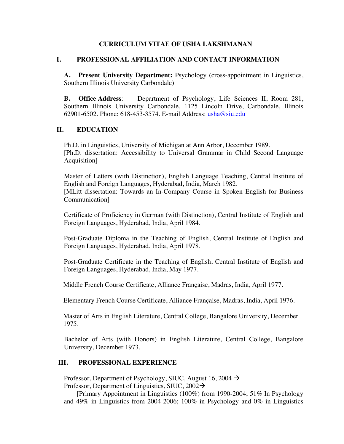## **CURRICULUM VITAE OF USHA LAKSHMANAN**

## **I. PROFESSIONAL AFFILIATION AND CONTACT INFORMATION**

**A. Present University Department:** Psychology (cross-appointment in Linguistics, Southern Illinois University Carbondale)

**B. Office Address**: Department of Psychology, Life Sciences II, Room 281, Southern Illinois University Carbondale, 1125 Lincoln Drive, Carbondale, Illinois 62901-6502. Phone: 618-453-3574. E-mail Address: usha@siu.edu

# **II. EDUCATION**

Ph.D. in Linguistics, University of Michigan at Ann Arbor, December 1989. [Ph.D. dissertation: Accessibility to Universal Grammar in Child Second Language Acquisition]

Master of Letters (with Distinction), English Language Teaching, Central Institute of English and Foreign Languages, Hyderabad, India, March 1982. [MLitt dissertation: Towards an In-Company Course in Spoken English for Business Communication]

Certificate of Proficiency in German (with Distinction), Central Institute of English and Foreign Languages, Hyderabad, India, April 1984.

Post-Graduate Diploma in the Teaching of English, Central Institute of English and Foreign Languages, Hyderabad, India, April 1978.

Post-Graduate Certificate in the Teaching of English, Central Institute of English and Foreign Languages, Hyderabad, India, May 1977.

Middle French Course Certificate, Alliance Française, Madras, India, April 1977.

Elementary French Course Certificate, Alliance Française, Madras, India, April 1976.

 Master of Arts in English Literature, Central College, Bangalore University, December 1975.

Bachelor of Arts (with Honors) in English Literature, Central College, Bangalore University, December 1973.

## **III. PROFESSIONAL EXPERIENCE**

Professor, Department of Psychology, SIUC, August 16, 2004  $\rightarrow$ Professor, Department of Linguistics, SIUC,  $2002\rightarrow$ 

[Primary Appointment in Linguistics (100%) from 1990-2004; 51% In Psychology and 49% in Linguistics from 2004-2006; 100% in Psychology and 0% in Linguistics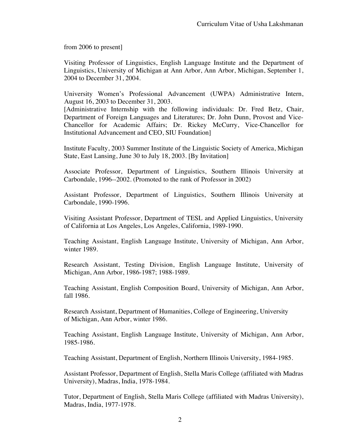from 2006 to present]

Visiting Professor of Linguistics, English Language Institute and the Department of Linguistics, University of Michigan at Ann Arbor, Ann Arbor, Michigan, September 1, 2004 to December 31, 2004.

University Women's Professional Advancement (UWPA) Administrative Intern, August 16, 2003 to December 31, 2003.

[Administrative Internship with the following individuals: Dr. Fred Betz, Chair, Department of Foreign Languages and Literatures; Dr. John Dunn, Provost and Vice-Chancellor for Academic Affairs; Dr. Rickey McCurry, Vice-Chancellor for Institutional Advancement and CEO, SIU Foundation]

Institute Faculty, 2003 Summer Institute of the Linguistic Society of America, Michigan State, East Lansing, June 30 to July 18, 2003. [By Invitation]

Associate Professor, Department of Linguistics, Southern Illinois University at Carbondale, 1996--2002. (Promoted to the rank of Professor in 2002)

Assistant Professor, Department of Linguistics, Southern Illinois University at Carbondale, 1990-1996.

Visiting Assistant Professor, Department of TESL and Applied Linguistics, University of California at Los Angeles, Los Angeles, California, 1989-1990.

Teaching Assistant, English Language Institute, University of Michigan, Ann Arbor, winter 1989.

Research Assistant, Testing Division, English Language Institute, University of Michigan, Ann Arbor, 1986-1987; 1988-1989.

Teaching Assistant, English Composition Board, University of Michigan, Ann Arbor, fall 1986.

Research Assistant, Department of Humanities, College of Engineering, University of Michigan, Ann Arbor, winter 1986.

Teaching Assistant, English Language Institute, University of Michigan, Ann Arbor, 1985-1986.

Teaching Assistant, Department of English, Northern Illinois University, 1984-1985.

Assistant Professor, Department of English, Stella Maris College (affiliated with Madras University), Madras, India, 1978-1984.

Tutor, Department of English, Stella Maris College (affiliated with Madras University), Madras, India, 1977-1978.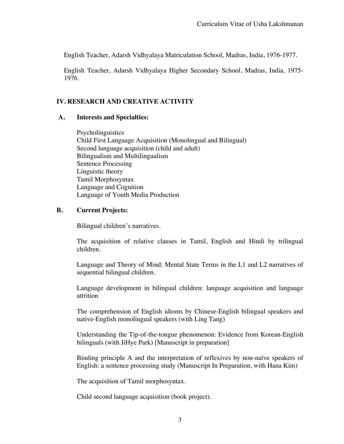English Teacher, Adarsh Vidhyalaya Matriculation School, Madras, India, 1976-1977.

English Teacher, Adarsh Vidhyalaya Higher Secondary School, Madras, India, 1975- 1976.

# **IV. RESEARCH AND CREATIVE ACTIVITY**

# **A. Interests and Specialties:**

 Psycholinguistics Child First Language Acquisition (Monolingual and Bilingual) Second language acquisition (child and adult) Bilingualism and Multilingualism Sentence Processing Linguistic theory Tamil Morphosyntax Language and Cognition Language of Youth Media Production

# **B. Current Projects:**

Bilingual children's narratives.

The acquisition of relative clauses in Tamil, English and Hindi by trilingual children.

Language and Theory of Mind: Mental State Terms in the L1 and L2 narratives of sequential bilingual children.

Language development in bilingual children: language acquisition and language attrition

The comprehension of English idioms by Chinese-English bilingual speakers and native-English monolingual speakers (with Ling Tang)

Understanding the Tip-of-the-tongue phenomenon: Evidence from Korean-English bilinguals (with JiHye Park) [Manuscript in preparation]

Binding principle A and the interpretation of reflexives by non-naïve speakers of English: a sentence processing study (Manuscript In Preparation, with Hana Kim)

The acquisition of Tamil morphosyntax.

Child second language acquisition (book project).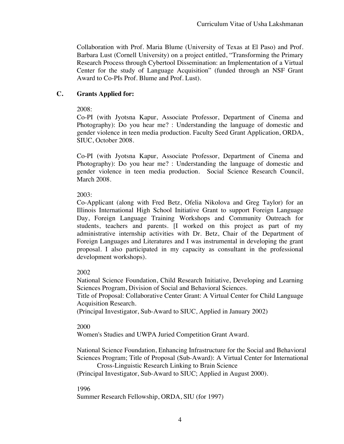Collaboration with Prof. Maria Blume (University of Texas at El Paso) and Prof. Barbara Lust (Cornell University) on a project entitled, "Transforming the Primary Research Process through Cybertool Dissemination: an Implementation of a Virtual Center for the study of Language Acquisition" (funded through an NSF Grant Award to Co-PIs Prof. Blume and Prof. Lust).

# **C. Grants Applied for:**

# 2008:

Co-PI (with Jyotsna Kapur, Associate Professor, Department of Cinema and Photography): Do you hear me? : Understanding the language of domestic and gender violence in teen media production. Faculty Seed Grant Application, ORDA, SIUC, October 2008.

Co-PI (with Jyotsna Kapur, Associate Professor, Department of Cinema and Photography): Do you hear me? : Understanding the language of domestic and gender violence in teen media production. Social Science Research Council, March 2008.

# 2003:

Co-Applicant (along with Fred Betz, Ofelia Nikolova and Greg Taylor) for an Illinois International High School Initiative Grant to support Foreign Language Day, Foreign Language Training Workshops and Community Outreach for students, teachers and parents. [I worked on this project as part of my administrative internship activities with Dr. Betz, Chair of the Department of Foreign Languages and Literatures and I was instrumental in developing the grant proposal. I also participated in my capacity as consultant in the professional development workshops).

# 2002

National Science Foundation, Child Research Initiative, Developing and Learning Sciences Program, Division of Social and Behavioral Sciences.

Title of Proposal: Collaborative Center Grant: A Virtual Center for Child Language Acquisition Research.

(Principal Investigator, Sub-Award to SIUC, Applied in January 2002)

# 2000

Women's Studies and UWPA Juried Competition Grant Award.

National Science Foundation, Enhancing Infrastructure for the Social and Behavioral Sciences Program; Title of Proposal (Sub-Award): A Virtual Center for International Cross-Linguistic Research Linking to Brain Science

(Principal Investigator, Sub-Award to SIUC; Applied in August 2000).

# 1996

Summer Research Fellowship, ORDA, SIU (for 1997)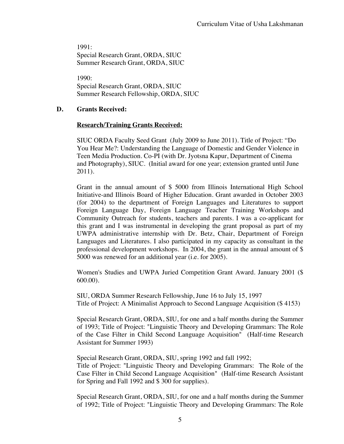1991: Special Research Grant, ORDA, SIUC Summer Research Grant, ORDA, SIUC

1990: Special Research Grant, ORDA, SIUC Summer Research Fellowship, ORDA, SIUC

# **D. Grants Received:**

# **Research/Training Grants Received:**

SIUC ORDA Faculty Seed Grant (July 2009 to June 2011). Title of Project: "Do You Hear Me?: Understanding the Language of Domestic and Gender Violence in Teen Media Production. Co-PI (with Dr. Jyotsna Kapur, Department of Cinema and Photography), SIUC. (Initial award for one year; extension granted until June 2011).

Grant in the annual amount of \$ 5000 from Illinois International High School Initiative-and Illinois Board of Higher Education. Grant awarded in October 2003 (for 2004) to the department of Foreign Languages and Literatures to support Foreign Language Day, Foreign Language Teacher Training Workshops and Community Outreach for students, teachers and parents. I was a co-applicant for this grant and I was instrumental in developing the grant proposal as part of my UWPA administrative internship with Dr. Betz, Chair, Department of Foreign Languages and Literatures. I also participated in my capacity as consultant in the professional development workshops. In 2004, the grant in the annual amount of \$ 5000 was renewed for an additional year (i.e. for 2005).

Women's Studies and UWPA Juried Competition Grant Award. January 2001 (\$ 600.00).

SIU, ORDA Summer Research Fellowship, June 16 to July 15, 1997 Title of Project: A Minimalist Approach to Second Language Acquisition (\$ 4153)

Special Research Grant, ORDA, SIU, for one and a half months during the Summer of 1993; Title of Project: "Linguistic Theory and Developing Grammars: The Role of the Case Filter in Child Second Language Acquisition" (Half-time Research Assistant for Summer 1993)

Special Research Grant, ORDA, SIU, spring 1992 and fall 1992; Title of Project: "Linguistic Theory and Developing Grammars: The Role of the Case Filter in Child Second Language Acquisition" (Half-time Research Assistant for Spring and Fall 1992 and \$ 300 for supplies).

Special Research Grant, ORDA, SIU, for one and a half months during the Summer of 1992; Title of Project: "Linguistic Theory and Developing Grammars: The Role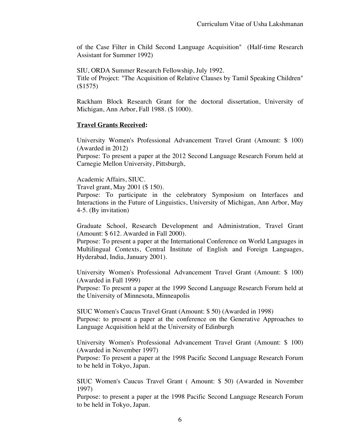of the Case Filter in Child Second Language Acquisition" (Half-time Research Assistant for Summer 1992)

 SIU, ORDA Summer Research Fellowship, July 1992. Title of Project: "The Acquisition of Relative Clauses by Tamil Speaking Children" (\$1575)

 Rackham Block Research Grant for the doctoral dissertation, University of Michigan, Ann Arbor, Fall 1988. (\$ 1000).

## **Travel Grants Received:**

University Women's Professional Advancement Travel Grant (Amount: \$ 100) (Awarded in 2012)

Purpose: To present a paper at the 2012 Second Language Research Forum held at Carnegie Mellon University, Pittsburgh,

Academic Affairs, SIUC.

Travel grant, May 2001 (\$ 150).

Purpose: To participate in the celebratory Symposium on Interfaces and Interactions in the Future of Linguistics, University of Michigan, Ann Arbor, May 4-5. (By invitation)

Graduate School, Research Development and Administration, Travel Grant (Amount: \$ 612. Awarded in Fall 2000).

Purpose: To present a paper at the International Conference on World Languages in Multilingual Contexts, Central Institute of English and Foreign Languages, Hyderabad, India, January 2001).

University Women's Professional Advancement Travel Grant (Amount: \$ 100) (Awarded in Fall 1999)

Purpose: To present a paper at the 1999 Second Language Research Forum held at the University of Minnesota, Minneapolis

SIUC Women's Caucus Travel Grant (Amount: \$ 50) (Awarded in 1998) Purpose: to present a paper at the conference on the Generative Approaches to Language Acquisition held at the University of Edinburgh

University Women's Professional Advancement Travel Grant (Amount: \$ 100) (Awarded in November 1997)

Purpose: To present a paper at the 1998 Pacific Second Language Research Forum to be held in Tokyo, Japan.

SIUC Women's Caucus Travel Grant ( Amount: \$ 50) (Awarded in November 1997)

Purpose: to present a paper at the 1998 Pacific Second Language Research Forum to be held in Tokyo, Japan.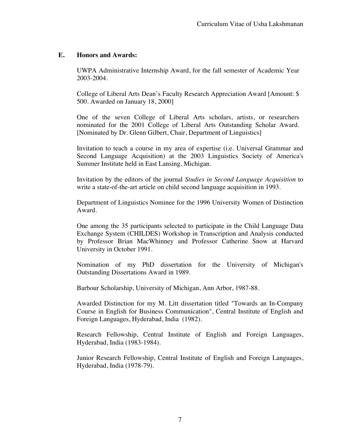# **E. Honors and Awards:**

UWPA Administrative Internship Award, for the fall semester of Academic Year 2003-2004.

College of Liberal Arts Dean's Faculty Research Appreciation Award [Amount: \$ 500. Awarded on January 18, 2000]

One of the seven College of Liberal Arts scholars, artists, or researchers nominated for the 2001 College of Liberal Arts Outstanding Scholar Award. [Nominated by Dr. Glenn Gilbert, Chair, Department of Linguistics]

Invitation to teach a course in my area of expertise (i.e. Universal Grammar and Second Language Acquisition) at the 2003 Linguistics Society of America's Summer Institute held in East Lansing, Michigan.

Invitation by the editors of the journal *Studies in Second Language Acquisition* to write a state-of-the-art article on child second language acquisition in 1993.

Department of Linguistics Nominee for the 1996 University Women of Distinction Award.

One among the 35 participants selected to participate in the Child Language Data Exchange System (CHILDES) Workshop in Transcription and Analysis conducted by Professor Brian MacWhinney and Professor Catherine Snow at Harvard University in October 1991.

Nomination of my PhD dissertation for the University of Michigan's Outstanding Dissertations Award in 1989.

Barbour Scholarship, University of Michigan, Ann Arbor, 1987-88.

Awarded Distinction for my M. Litt dissertation titled "Towards an In-Company Course in English for Business Communication", Central Institute of English and Foreign Languages, Hyderabad, India (1982).

Research Fellowship, Central Institute of English and Foreign Languages, Hyderabad, India (1983-1984).

Junior Research Fellowship, Central Institute of English and Foreign Languages, Hyderabad, India (1978-79).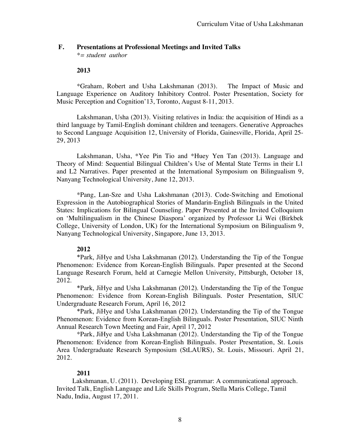# **F. Presentations at Professional Meetings and Invited Talks**

*\*= student author*

#### **2013**

\*Graham, Robert and Usha Lakshmanan (2013). The Impact of Music and Language Experience on Auditory Inhibitory Control. Poster Presentation, Society for Music Perception and Cognition'13, Toronto, August 8-11, 2013.

Lakshmanan, Usha (2013). Visiting relatives in India: the acquisition of Hindi as a third language by Tamil-English dominant children and teenagers. Generative Approaches to Second Language Acquisition 12, University of Florida, Gainesville, Florida, April 25- 29, 2013

Lakshmanan, Usha, \*Yee Pin Tio and \*Huey Yen Tan (2013). Language and Theory of Mind: Sequential Bilingual Children's Use of Mental State Terms in their L1 and L2 Narratives. Paper presented at the International Symposium on Bilingualism 9, Nanyang Technological University, June 12, 2013.

\*Pang, Lan-Sze and Usha Lakshmanan (2013). Code-Switching and Emotional Expression in the Autobiographical Stories of Mandarin-English Bilinguals in the United States: Implications for Bilingual Counseling. Paper Presented at the Invited Colloquium on 'Multilingualism in the Chinese Diaspora' organized by Professor Li Wei (Birkbek College, University of London, UK) for the International Symposium on Bilingualism 9, Nanyang Technological University, Singapore, June 13, 2013.

## **2012**

\*Park, JiHye and Usha Lakshmanan (2012). Understanding the Tip of the Tongue Phenomenon: Evidence from Korean-English Bilinguals. Paper presented at the Second Language Research Forum, held at Carnegie Mellon University, Pittsburgh, October 18, 2012.

\*Park, JiHye and Usha Lakshmanan (2012). Understanding the Tip of the Tongue Phenomenon: Evidence from Korean-English Bilinguals. Poster Presentation, SIUC Undergraduate Research Forum, April 16, 2012

\*Park, JiHye and Usha Lakshmanan (2012). Understanding the Tip of the Tongue Phenomenon: Evidence from Korean-English Bilinguals. Poster Presentation, SIUC Ninth Annual Research Town Meeting and Fair, April 17, 2012

\*Park, JiHye and Usha Lakshmanan (2012). Understanding the Tip of the Tongue Phenomenon: Evidence from Korean-English Bilinguals. Poster Presentation, St. Louis Area Undergraduate Research Symposium (StLAURS), St. Louis, Missouri. April 21, 2012.

## **2011**

Lakshmanan, U. (2011). Developing ESL grammar: A communicational approach. Invited Talk, English Language and Life Skills Program, Stella Maris College, Tamil Nadu, India, August 17, 2011.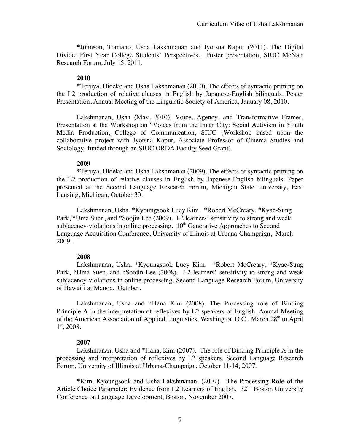\*Johnson, Torriano, Usha Lakshmanan and Jyotsna Kapur (2011). The Digital Divide: First Year College Students' Perspectives. Poster presentation, SIUC McNair Research Forum, July 15, 2011.

#### **2010**

\*Teruya, Hideko and Usha Lakshmanan (2010). The effects of syntactic priming on the L2 production of relative clauses in English by Japanese-English bilinguals. Poster Presentation, Annual Meeting of the Linguistic Society of America, January 08, 2010.

Lakshmanan, Usha (May, 2010). Voice, Agency, and Transformative Frames. Presentation at the Workshop on "Voices from the Inner City: Social Activism in Youth Media Production, College of Communication, SIUC (Workshop based upon the collaborative project with Jyotsna Kapur, Associate Professor of Cinema Studies and Sociology; funded through an SIUC ORDA Faculty Seed Grant).

#### **2009**

\*Teruya, Hideko and Usha Lakshmanan (2009). The effects of syntactic priming on the L2 production of relative clauses in English by Japanese-English bilinguals. Paper presented at the Second Language Research Forum, Michigan State University, East Lansing, Michigan, October 30.

Lakshmanan, Usha, \*Kyoungsook Lucy Kim, \*Robert McCreary, \*Kyae-Sung Park, \*Uma Suen, and \*Soojin Lee (2009). L2 learners' sensitivity to strong and weak subjacency-violations in online processing.  $10<sup>th</sup>$  Generative Approaches to Second Language Acquisition Conference, University of Illinois at Urbana-Champaign, March 2009.

## **2008**

Lakshmanan, Usha, \*Kyoungsook Lucy Kim, \*Robert McCreary, \*Kyae-Sung Park, \*Uma Suen, and \*Soojin Lee (2008). L2 learners' sensitivity to strong and weak subjacency-violations in online processing. Second Language Research Forum, University of Hawai'i at Manoa, October.

Lakshmanan, Usha and \*Hana Kim (2008). The Processing role of Binding Principle A in the interpretation of reflexives by L2 speakers of English. Annual Meeting of the American Association of Applied Linguistics, Washington D.C., March 28<sup>th</sup> to April  $1<sup>st</sup>$ , 2008.

## **2007**

Lakshmanan, Usha and \*Hana, Kim (2007). The role of Binding Principle A in the processing and interpretation of reflexives by L2 speakers. Second Language Research Forum, University of Illinois at Urbana-Champaign, October 11-14, 2007.

\*Kim, Kyoungsook and Usha Lakshmanan. (2007). The Processing Role of the Article Choice Parameter: Evidence from L2 Learners of English. 32<sup>nd</sup> Boston University Conference on Language Development, Boston, November 2007.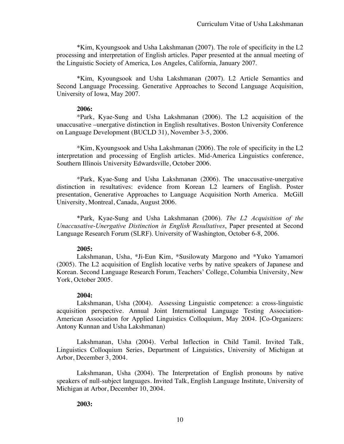\*Kim, Kyoungsook and Usha Lakshmanan (2007). The role of specificity in the L2 processing and interpretation of English articles. Paper presented at the annual meeting of the Linguistic Society of America, Los Angeles, California, January 2007.

\*Kim, Kyoungsook and Usha Lakshmanan (2007). L2 Article Semantics and Second Language Processing. Generative Approaches to Second Language Acquisition, University of Iowa, May 2007.

#### **2006:**

\*Park, Kyae-Sung and Usha Lakshmanan (2006). The L2 acquisition of the unaccusative –unergative distinction in English resultatives. Boston University Conference on Language Development (BUCLD 31), November 3-5, 2006.

\*Kim, Kyoungsook and Usha Lakshmanan (2006). The role of specificity in the L2 interpretation and processing of English articles. Mid-America Linguistics conference, Southern Illinois University Edwardsville, October 2006.

\*Park, Kyae-Sung and Usha Lakshmanan (2006). The unaccusative-unergative distinction in resultatives: evidence from Korean L2 learners of English. Poster presentation, Generative Approaches to Language Acquisition North America. McGill University, Montreal, Canada, August 2006.

\*Park, Kyae-Sung and Usha Lakshmanan (2006). *The L2 Acquisition of the Unaccusative-Unergative Distinction in English Resultatives*, Paper presented at Second Language Research Forum (SLRF). University of Washington, October 6-8, 2006.

## **2005:**

Lakshmanan, Usha, \*Ji-Eun Kim, \*Susilowaty Margono and \*Yuko Yamamori (2005). The L2 acquisition of English locative verbs by native speakers of Japanese and Korean. Second Language Research Forum, Teachers' College, Columbia University, New York, October 2005.

## **2004:**

Lakshmanan, Usha (2004). Assessing Linguistic competence: a cross-linguistic acquisition perspective. Annual Joint International Language Testing Association-American Association for Applied Linguistics Colloquium, May 2004. [Co-Organizers: Antony Kunnan and Usha Lakshmanan)

Lakshmanan, Usha (2004). Verbal Inflection in Child Tamil. Invited Talk, Linguistics Colloquium Series, Department of Linguistics, University of Michigan at Arbor, December 3, 2004.

Lakshmanan, Usha (2004). The Interpretation of English pronouns by native speakers of null-subject languages. Invited Talk, English Language Institute, University of Michigan at Arbor, December 10, 2004.

## **2003:**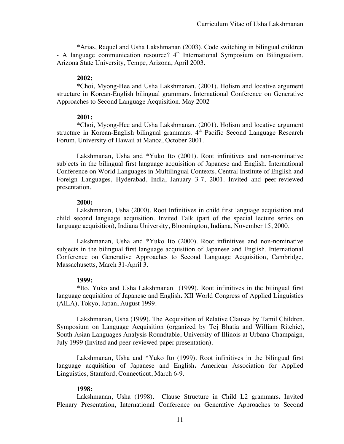\*Arias, Raquel and Usha Lakshmanan (2003). Code switching in bilingual children  $-$  A language communication resource?  $4<sup>th</sup>$  International Symposium on Bilingualism. Arizona State University, Tempe, Arizona, April 2003.

#### **2002:**

\*Choi, Myong-Hee and Usha Lakshmanan. (2001). Holism and locative argument structure in Korean-English bilingual grammars. International Conference on Generative Approaches to Second Language Acquisition. May 2002

#### **2001:**

\*Choi, Myong-Hee and Usha Lakshmanan. (2001). Holism and locative argument structure in Korean-English bilingual grammars.  $4<sup>th</sup>$  Pacific Second Language Research Forum, University of Hawaii at Manoa, October 2001.

Lakshmanan, Usha and \*Yuko Ito (2001). Root infinitives and non-nominative subjects in the bilingual first language acquisition of Japanese and English. International Conference on World Languages in Multilingual Contexts, Central Institute of English and Foreign Languages, Hyderabad, India, January 3-7, 2001. Invited and peer-reviewed presentation.

#### **2000:**

Lakshmanan, Usha (2000). Root Infinitives in child first language acquisition and child second language acquisition. Invited Talk (part of the special lecture series on language acquisition), Indiana University, Bloomington, Indiana, November 15, 2000.

Lakshmanan, Usha and \*Yuko Ito (2000). Root infinitives and non-nominative subjects in the bilingual first language acquisition of Japanese and English. International Conference on Generative Approaches to Second Language Acquisition, Cambridge, Massachusetts, March 31-April 3.

#### **1999:**

\*Ito, Yuko and Usha Lakshmanan (1999). Root infinitives in the bilingual first language acquisition of Japanese and English**.** XII World Congress of Applied Linguistics (AILA), Tokyo, Japan, August 1999.

Lakshmanan, Usha (1999). The Acquisition of Relative Clauses by Tamil Children. Symposium on Language Acquisition (organized by Tej Bhatia and William Ritchie), South Asian Languages Analysis Roundtable, University of Illinois at Urbana-Champaign, July 1999 (Invited and peer-reviewed paper presentation).

Lakshmanan, Usha and \*Yuko Ito (1999). Root infinitives in the bilingual first language acquisition of Japanese and English**.** American Association for Applied Linguistics, Stamford, Connecticut, March 6-9.

#### **1998:**

Lakshmanan, Usha (1998). Clause Structure in Child L2 grammars**.** Invited Plenary Presentation, International Conference on Generative Approaches to Second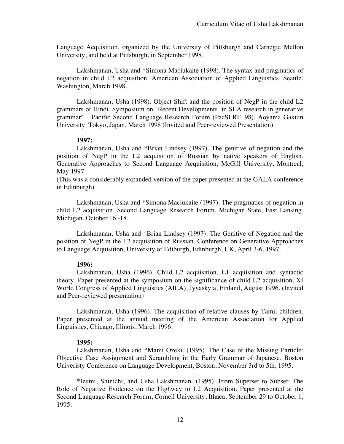Language Acquisition, organized by the University of Pittsburgh and Carnegie Mellon University, and held at Pittsburgh, in September 1998.

Lakshmanan, Usha and \*Simona Maciukaite (1998). The syntax and pragmatics of negation in child L2 acquisition. American Association of Applied Linguistics. Seattle, Washington, March 1998.

Lakshmanan, Usha (1998). Object Shift and the position of NegP in the child L2 grammars of Hindi. Symposium on "Recent Developments in SLA research in generative grammar" Pacific Second Language Research Forum (PacSLRF '98), Aoyama Gakuin University Tokyo, Japan, March 1998 (Invited and Peer-reviewed Presentation)

#### **1997:**

Lakshmanan, Usha and \*Brian Lindsey (1997). The genitive of negation and the position of NegP in the L2 acquisition of Russian by native speakers of English. Generative Approaches to Second Language Acquisition, McGill University, Montreal, May 1997

(This was a considerably expanded version of the paper presented at the GALA conference in Edinburgh)

Lakshmanan, Usha and \*Simona Maciukaite (1997). The pragmatics of negation in child L2 acquisition, Second Language Research Forum, Michigan State, East Lansing, Michigan, October 16 -18.

Lakshmanan, Usha and \*Brian Lindsey (1997). The Genitive of Negation and the position of NegP in the L2 acquisition of Russian. Conference on Generative Approaches to Language Acquisition, University of Ediburgh, Edinburgh, UK, April 3-6, 1997.

## **1996:**

Lakshmanan, Usha (1996). Child L2 acquisition, L1 acquisition and syntactic theory. Paper presented at the symposium on the significance of child L2 acquisition, XI World Congress of Applied Linguistics (AILA), Jyvaskyla, Finland, August 1996. (Invited and Peer-reviewed presentation)

Lakshmanan, Usha (1996). The acquisition of relative clauses by Tamil children. Paper presented at the annual meeting of the American Association for Applied Linguistics, Chicago, Illinois, March 1996.

## **1995:**

Lakshmanan, Usha and \*Mami Ozeki. (1995). The Case of the Missing Particle: Objective Case Assignment and Scrambling in the Early Grammar of Japanese. Boston Univeristy Conference on Language Development, Boston, November 3rd to 5th, 1995.

\*Izumi, Shinichi, and Usha Lakshmanan. (1995). From Superset to Subset: The Role of Negative Evidence on the Highway to L2 Acquisition. Paper presented at the Second Language Research Forum, Cornell University, Ithaca, September 29 to October 1, 1995.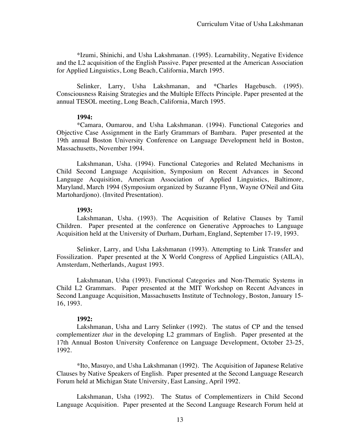\*Izumi, Shinichi, and Usha Lakshmanan. (1995). Learnability, Negative Evidence and the L2 acquisition of the English Passive. Paper presented at the American Association for Applied Linguistics, Long Beach, California, March 1995.

Selinker, Larry, Usha Lakshmanan, and \*Charles Hagebusch. (1995). Consciousness Raising Strategies and the Multiple Effects Principle. Paper presented at the annual TESOL meeting, Long Beach, California, March 1995.

#### **1994:**

\*Camara, Oumarou, and Usha Lakshmanan. (1994). Functional Categories and Objective Case Assignment in the Early Grammars of Bambara. Paper presented at the 19th annual Boston University Conference on Language Development held in Boston, Massachusetts, November 1994.

Lakshmanan, Usha. (1994). Functional Categories and Related Mechanisms in Child Second Language Acquisition, Symposium on Recent Advances in Second Language Acquisition, American Association of Applied Linguistics, Baltimore, Maryland, March 1994 (Symposium organized by Suzanne Flynn, Wayne O'Neil and Gita Martohardjono). (Invited Presentation).

## **1993:**

Lakshmanan, Usha. (1993). The Acquisition of Relative Clauses by Tamil Children. Paper presented at the conference on Generative Approaches to Language Acquisition held at the University of Durham, Durham, England, September 17-19, 1993.

Selinker, Larry, and Usha Lakshmanan (1993). Attempting to Link Transfer and Fossilization. Paper presented at the X World Congress of Applied Linguistics (AILA), Amsterdam, Netherlands, August 1993.

Lakshmanan, Usha (1993). Functional Categories and Non-Thematic Systems in Child L2 Grammars. Paper presented at the MIT Workshop on Recent Advances in Second Language Acquisition, Massachusetts Institute of Technology, Boston, January 15- 16, 1993.

## **1992:**

Lakshmanan, Usha and Larry Selinker (1992). The status of CP and the tensed complementizer *that* in the developing L2 grammars of English. Paper presented at the 17th Annual Boston University Conference on Language Development, October 23-25, 1992.

\*Ito, Masuyo, and Usha Lakshmanan (1992). The Acquisition of Japanese Relative Clauses by Native Speakers of English. Paper presented at the Second Language Research Forum held at Michigan State University, East Lansing, April 1992.

Lakshmanan, Usha (1992). The Status of Complementizers in Child Second Language Acquisition. Paper presented at the Second Language Research Forum held at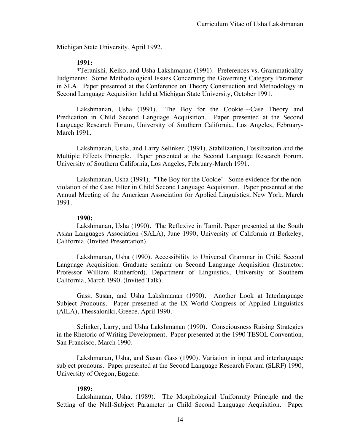Michigan State University, April 1992.

#### **1991:**

\*Teranishi, Keiko, and Usha Lakshmanan (1991). Preferences vs. Grammaticality Judgments: Some Methodological Issues Concerning the Governing Category Parameter in SLA. Paper presented at the Conference on Theory Construction and Methodology in Second Language Acquisition held at Michigan State University, October 1991.

Lakshmanan, Usha (1991). "The Boy for the Cookie"--Case Theory and Predication in Child Second Language Acquisition. Paper presented at the Second Language Research Forum, University of Southern California, Los Angeles, February-March 1991.

Lakshmanan, Usha, and Larry Selinker. (1991). Stabilization, Fossilization and the Multiple Effects Principle. Paper presented at the Second Language Research Forum, University of Southern California, Los Angeles, February-March 1991.

Lakshmanan, Usha (1991). "The Boy for the Cookie"--Some evidence for the nonviolation of the Case Filter in Child Second Language Acquisition. Paper presented at the Annual Meeting of the American Association for Applied Linguistics, New York, March 1991.

#### **1990:**

Lakshmanan, Usha (1990). The Reflexive in Tamil. Paper presented at the South Asian Languages Association (SALA), June 1990, University of California at Berkeley, California. (Invited Presentation).

Lakshmanan, Usha (1990). Accessibility to Universal Grammar in Child Second Language Acquisition. Graduate seminar on Second Language Acquisition (Instructor: Professor William Rutherford). Department of Linguistics, University of Southern California, March 1990. (Invited Talk).

Gass, Susan, and Usha Lakshmanan (1990). Another Look at Interlanguage Subject Pronouns. Paper presented at the IX World Congress of Applied Linguistics (AILA), Thessaloniki, Greece, April 1990.

Selinker, Larry, and Usha Lakshmanan (1990). Consciousness Raising Strategies in the Rhetoric of Writing Development. Paper presented at the 1990 TESOL Convention, San Francisco, March 1990.

Lakshmanan, Usha, and Susan Gass (1990). Variation in input and interlanguage subject pronouns. Paper presented at the Second Language Research Forum (SLRF) 1990, University of Oregon, Eugene.

#### **1989:**

Lakshmanan, Usha. (1989). The Morphological Uniformity Principle and the Setting of the Null-Subject Parameter in Child Second Language Acquisition. Paper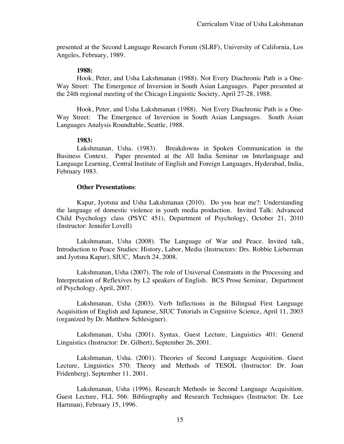presented at the Second Language Research Forum (SLRF), University of California, Los Angeles, February, 1989.

#### **1988:**

Hook, Peter, and Usha Lakshmanan (1988). Not Every Diachronic Path is a One-Way Street: The Emergence of Inversion in South Asian Languages. Paper presented at the 24th regional meeting of the Chicago Linguistic Society, April 27-28, 1988.

Hook, Peter, and Usha Lakshmanan (1988). Not Every Diachronic Path is a One-Way Street: The Emergence of Inversion in South Asian Languages. South Asian Languages Analysis Roundtable, Seattle, 1988.

#### **1983:**

Lakshmanan, Usha. (1983). Breakdowns in Spoken Communication in the Business Context. Paper presented at the All India Seminar on Interlanguage and Language Learning, Central Institute of English and Foreign Languages, Hyderabad, India, February 1983.

#### **Other Presentations**:

Kapur, Jyotsna and Usha Lakshmanan (2010). Do you hear me?: Understanding the language of domestic violence in youth media production. Invited Talk: Advanced Child Psychology class (PSYC 451), Department of Psychology, October 21, 2010 (Instructor: Jennifer Lovell)

Lakshmanan, Usha (2008). The Language of War and Peace. Invited talk, Introduction to Peace Studies: History, Labor, Media (Instructors: Drs. Robbie Lieberman and Jyotsna Kapur), SIUC, March 24, 2008.

Lakshmanan, Usha (2007). The role of Universal Constraints in the Processing and Interpretation of Reflexives by L2 speakers of English. BCS Prose Seminar, Department of Psychology, April, 2007.

Lakshmanan, Usha (2003). Verb Inflections in the Bilingual First Language Acquisition of English and Japanese, SIUC Tutorials in Cognitive Science, April 11, 2003 (organized by Dr. Matthew Schlesigner).

Lakshmanan, Usha (2001). Syntax. Guest Lecture, Linguistics 401: General Linguistics (Instructor: Dr. Gilbert), September 26, 2001.

Lakshmanan, Usha. (2001). Theories of Second Language Acquisition. Guest Lecture, Linguistics 570: Theory and Methods of TESOL (Instructor: Dr. Joan Fridenberg), September 11, 2001.

Lakshmanan, Usha (1996). Research Methods in Second Language Acquisition. Guest Lecture, FLL 566: Bibliography and Research Techniques (Instructor: Dr. Lee Hartman), February 15, 1996.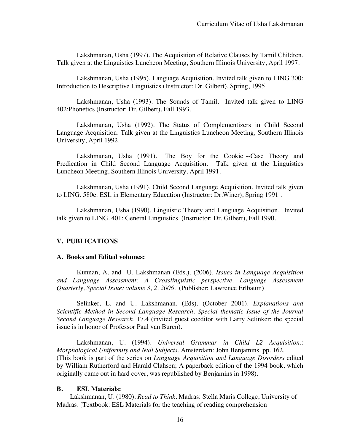Lakshmanan, Usha (1997). The Acquisition of Relative Clauses by Tamil Children. Talk given at the Linguistics Luncheon Meeting, Southern Illinois University, April 1997.

Lakshmanan, Usha (1995). Language Acquisition. Invited talk given to LING 300: Introduction to Descriptive Linguistics (Instructor: Dr. Gilbert), Spring, 1995.

Lakshmanan, Usha (1993). The Sounds of Tamil. Invited talk given to LING 402:Phonetics (Instructor: Dr. Gilbert), Fall 1993.

Lakshmanan, Usha (1992). The Status of Complementizers in Child Second Language Acquisition. Talk given at the Linguistics Luncheon Meeting, Southern Illinois University, April 1992.

Lakshmanan, Usha (1991). "The Boy for the Cookie"--Case Theory and Predication in Child Second Language Acquisition. Talk given at the Linguistics Luncheon Meeting, Southern Illinois University, April 1991.

Lakshmanan, Usha (1991). Child Second Language Acquisition. Invited talk given to LING. 580e: ESL in Elementary Education (Instructor: Dr.Winer), Spring 1991 .

Lakshmanan, Usha (1990). Linguistic Theory and Language Acquisition. Invited talk given to LING. 401: General Linguistics (Instructor: Dr. Gilbert), Fall 1990.

## **V. PUBLICATIONS**

#### **A. Books and Edited volumes:**

Kunnan, A. and U. Lakshmanan (Eds.). (2006). *Issues in Language Acquisition and Language Assessment: A Crosslinguistic perspective. Language Assessment Quarterly, Special Issue: volume 3, 2, 2006*. (Publisher: Lawrence Erlbaum)

Selinker, L. and U. Lakshmanan. (Eds). (October 2001). *Explanations and Scientific Method in Second Language Research. Special thematic Issue of the Journal Second Language Research*. 17.4 (invited guest coeditor with Larry Selinker; the special issue is in honor of Professor Paul van Buren).

Lakshmanan, U. (1994). *Universal Grammar in Child L2 Acquisition*.: *Morphological Uniformity and Null Subjects*. Amsterdam: John Benjamins. pp. 162. (This book is part of the series on *Language Acquisition and Language Disorders* edited by William Rutherford and Harald Clahsen; A paperback edition of the 1994 book, which originally came out in hard cover, was republished by Benjamins in 1998).

#### **B. ESL Materials:**

Lakshmanan, U. (1980). *Read to Think*. Madras: Stella Maris College, University of Madras. [Textbook: ESL Materials for the teaching of reading comprehension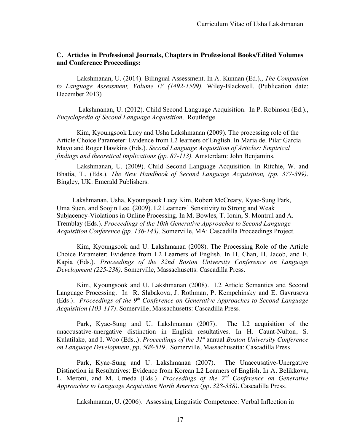#### **C. Articles in Professional Journals, Chapters in Professional Books/Edited Volumes and Conference Proceedings:**

Lakshmanan, U. (2014). Bilingual Assessment. In A. Kunnan (Ed.)., *The Companion to Language Assessment, Volume IV (1492-1509).* Wiley-Blackwell. (Publication date: December 2013)

Lakshmanan, U. (2012). Child Second Language Acquisition. In P. Robinson (Ed.)., *Encyclopedia of Second Language Acquisition*. Routledge.

Kim, Kyoungsook Lucy and Usha Lakshmanan (2009). The processing role of the Article Choice Parameter: Evidence from L2 learners of English. In María del Pilar García Mayo and Roger Hawkins (Eds.). *Second Language Acquisition of Articles: Empirical findings and theoretical implications (pp. 87-113).* Amsterdam: John Benjamins.

Lakshmanan, U. (2009). Child Second Language Acquisition. In Ritchie, W. and Bhatia, T., (Eds.). *The New Handbook of Second Language Acquisition, (pp. 377-399)*. Bingley, UK: Emerald Publishers.

Lakshmanan, Usha, Kyoungsook Lucy Kim, Robert McCreary, Kyae-Sung Park, Uma Suen, and Soojin Lee. (2009). L2 Learners' Sensitivity to Strong and Weak Subjacency-Violations in Online Processing. In M. Bowles, T. Ionin, S. Montrul and A. Tremblay (Eds.). *Proceedings of the 10th Generative Approaches to Second Language Acquisition Conference (pp. 136-143).* Somerville, MA: Cascadilla Proceedings Project.

Kim, Kyoungsook and U. Lakshmanan (2008). The Processing Role of the Article Choice Parameter: Evidence from L2 Learners of English. In H. Chan, H. Jacob, and E. Kapia (Eds.). *Proceedings of the 32nd Boston University Conference on Language Development (225-238)*. Somerville, Massachusetts: Cascadilla Press.

Kim, Kyoungsook and U. Lakshmanan (2008). L2 Article Semantics and Second Language Processing. In R. Slabakova, J. Rothman, P. Kempchinsky and E. Gavruseva (Eds.). *Proceedings of the 9th Conference on Generative Approaches to Second Language Acquisition (103-117)*. Somerville, Massachusetts: Cascadilla Press.

Park, Kyae-Sung and U. Lakshmanan (2007). The L2 acquisition of the unaccusative-unergative distinction in English resultatives. In H. Caunt-Nulton, S. Kulatilake, and I. Woo (Eds.,). *Proceedings of the 31st* annual *Boston University Conference on Language Development, pp. 508-519.* Somerville, Massachusetta: Cascadilla Press.

Park, Kyae-Sung and U. Lakshmanan (2007). The Unaccusative-Unergative Distinction in Resultatives: Evidence from Korean L2 Learners of English. In A. Belikkova, L. Meroni, and M. Umeda (Eds.). *Proceedings of the 2nd Conference on Generative Approaches to Language Acquisition North America* (*pp. 328-338)*. Cascadilla Press.

Lakshmanan, U. (2006). Assessing Linguistic Competence: Verbal Inflection in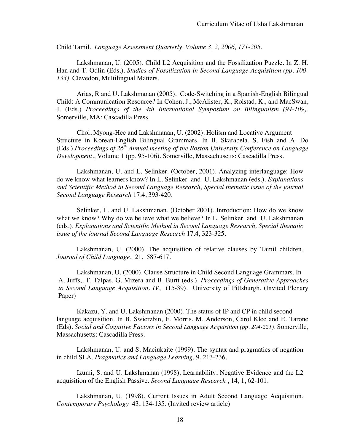Child Tamil. *Language Assessment Quarterly, Volume 3, 2, 2006, 171-205.*

Lakshmanan, U. (2005). Child L2 Acquisition and the Fossilization Puzzle. In Z. H. Han and T. Odlin (Eds.). *Studies of Fossilization in Second Language Acquisition (pp. 100- 133)*. Clevedon, Multilingual Matters.

Arias, R and U. Lakshmanan (2005). Code-Switching in a Spanish-English Bilingual Child: A Communication Resource? In Cohen, J., McAlister, K., Rolstad, K., and MacSwan, J. (Eds.) *Proceedings of the 4th International Symposium on Bilingualism (94-109).* Somerville, MA: Cascadilla Press.

Choi, Myong-Hee and Lakshmanan, U. (2002). Holism and Locative Argument Structure in Korean-English Bilingual Grammars. In B. Skarabela, S. Fish and A. Do (Eds.).*Proceedings of 26th Annual meeting of the Boston University Conference on Language Development*., Volume 1 (pp. 95-106). Somerville, Massachusetts: Cascadilla Press.

Lakshmanan, U. and L. Selinker. (October, 2001). Analyzing interlanguage: How do we know what learners know? In L. Selinker and U. Lakshmanan (eds.). *Explanations and Scientific Method in Second Language Research, Special thematic issue of the journal Second Language Research* 17.4, 393-420.

Selinker, L. and U. Lakshmanan. (October 2001). Introduction: How do we know what we know? Why do we believe what we believe? In L. Selinker and U. Lakshmanan (eds.). *Explanations and Scientific Method in Second Language Research, Special thematic issue of the journal Second Language Research* 17.4, 323-325.

Lakshmanan, U. (2000). The acquisition of relative clauses by Tamil children. *Journal of Child Language*, 21, 587-617.

Lakshmanan, U. (2000). Clause Structure in Child Second Language Grammars. In A. Juffs,, T. Talpas, G. Mizera and B. Burtt (eds.). *Proceedings of Generative Approaches to Second Language Acquisition. IV*, (15-39). University of Pittsburgh. (Invited Plenary Paper)

Kakazu, Y. and U. Lakshmanan (2000). The status of IP and CP in child second language acquisition. In B. Swierzbin, F. Morris, M. Anderson, Carol Klee and E. Tarone (Eds). *Social and Cognitive Factors in Second Language Acquisition (pp. 204-221).* Somerville, Massachusetts: Cascadilla Press.

Lakshmanan, U. and S. Maciukaite (1999). The syntax and pragmatics of negation in child SLA. *Pragmatics and Language Learning,* 9, 213-236.

Izumi, S. and U. Lakshmanan (1998). Learnability, Negative Evidence and the L2 acquisition of the English Passive. *Second Language Research* , 14, 1, 62-101.

Lakshmanan, U. (1998). Current Issues in Adult Second Language Acquisition*. Contemporary Psychology* 43, 134-135. (Invited review article)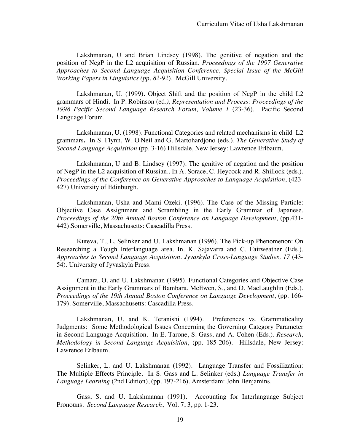Lakshmanan, U and Brian Lindsey (1998). The genitive of negation and the position of NegP in the L2 acquisition of Russian. *Proceedings of the 1997 Generative Approaches to Second Language Acquisition Conference, Special Issue of the McGill Working Papers in Linguistics (pp. 82-92*). McGill University.

Lakshmanan, U. (1999). Object Shift and the position of NegP in the child L2 grammars of Hindi. In P. Robinson (ed*.), Representation and Process: Proceedings of the 1998 Pacific Second Language Research Forum, Volume 1* (23-36). Pacific Second Language Forum.

Lakshmanan, U. (1998). Functional Categories and related mechanisms in child L2 grammars**.** In S. Flynn, W. O'Neil and G. Martohardjono (eds.). *The Generative Study of Second Language Acquisition* (pp. 3-16) Hillsdale, New Jersey: Lawrence Erlbaum.

Lakshmanan, U and B. Lindsey (1997). The genitive of negation and the position of NegP in the L2 acquisition of Russian.. In A. Sorace, C. Heycock and R. Shillock (eds.)*. Proceedings of the Conference on Generative Approaches to Language Acquisition*, (423- 427) University of Edinburgh.

Lakshmanan, Usha and Mami Ozeki. (1996). The Case of the Missing Particle: Objective Case Assignment and Scrambling in the Early Grammar of Japanese. *Proceedings of the 20th Annual Boston Conference on Language Development*, (pp.431- 442).Somerville, Massachusetts: Cascadilla Press.

Kuteva, T., L. Selinker and U. Lakshmanan (1996). The Pick-up Phenomenon: On Researching a Tough Interlanguage area. In. K. Sajavarra and C. Fairweather (Eds.). *Approaches to Second Language Acquisition. Jyvaskyla Cross-Language Studies, 17* (43- 54)*.* University of Jyvaskyla Press.

Camara, O. and U. Lakshmanan (1995). Functional Categories and Objective Case Assignment in the Early Grammars of Bambara. McEwen, S., and D, MacLaughlin (Eds.). *Proceedings of the 19th Annual Boston Conference on Language Development*, (pp. 166- 179). Somerville, Massachusetts: Cascadilla Press.

Lakshmanan, U. and K. Teranishi (1994). Preferences vs. Grammaticality Judgments: Some Methodological Issues Concerning the Governing Category Parameter in Second Language Acquisition. In E. Tarone, S. Gass, and A. Cohen (Eds.). *Research, Methodology in Second Language Acquisition*, (pp. 185-206). Hillsdale, New Jersey: Lawrence Erlbaum.

Selinker, L. and U. Lakshmanan (1992). Language Transfer and Fossilization: The Multiple Effects Principle. In S. Gass and L. Selinker (eds.) *Language Transfer in Language Learning* (2nd Edition), (pp. 197-216). Amsterdam: John Benjamins.

Gass, S. and U. Lakshmanan (1991). Accounting for Interlanguage Subject Pronouns. *Second Language Research*, Vol. 7, 3, pp. 1-23.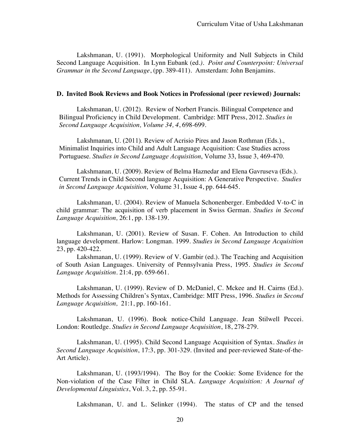Lakshmanan, U. (1991). Morphological Uniformity and Null Subjects in Child Second Language Acquisition. In Lynn Eubank (ed*.). Point and Counterpoint: Universal Grammar in the Second Language*, (pp. 389-411). Amsterdam: John Benjamins.

#### **D. Invited Book Reviews and Book Notices in Professional (peer reviewed) Journals:**

Lakshmanan, U. (2012). Review of Norbert Francis. Bilingual Competence and Bilingual Proficiency in Child Development. Cambridge: MIT Press, 2012. *Studies in Second Language Acquisition, Volume 34, 4*, 698-699.

Lakshmanan, U. (2011). Review of Acrisio Pires and Jason Rothman (Eds.)., Minimalist Inquiries into Child and Adult Language Acquisition: Case Studies across Portuguese. *Studies in Second Language Acquisition*, Volume 33, Issue 3, 469-470.

Lakshmanan, U. (2009). Review of Belma Haznedar and Elena Gavruseva (Eds.). Current Trends in Child Second language Acquisition: A Generative Perspective. *Studies in Second Language Acquisition,* Volume 31, Issue 4, pp. 644-645.

Lakshmanan, U. (2004). Review of Manuela Schonenberger. Embedded V-to-C in child grammar: The acquisition of verb placement in Swiss German. *Studies in Second Language Acquisition,* 26:1, pp. 138-139.

Lakshmanan, U. (2001). Review of Susan. F. Cohen. An Introduction to child language development. Harlow: Longman. 1999. *Studies in Second Language Acquisition*  23, pp. 420-422.

Lakshmanan, U. (1999). Review of V. Gambir (ed.). The Teaching and Acquisition of South Asian Languages. University of Pennsylvania Press, 1995*. Studies in Second Language Acquisition*. 21:4, pp. 659-661.

Lakshmanan, U. (1999). Review of D. McDaniel, C. Mckee and H. Cairns (Ed.). Methods for Assessing Children's Syntax, Cambridge: MIT Press, 1996. *Studies in Second Language Acquisition,* 21:1, pp. 160-161.

Lakshmanan, U. (1996). Book notice-Child Language. Jean Stilwell Peccei. London: Routledge. *Studies in Second Language Acquisition*, 18, 278-279.

Lakshmanan, U. (1995). Child Second Language Acquisition of Syntax. *Studies in Second Language Acquisition*, 17:3, pp. 301-329. (Invited and peer-reviewed State-of-the-Art Article).

Lakshmanan, U. (1993/1994). The Boy for the Cookie: Some Evidence for the Non-violation of the Case Filter in Child SLA*. Language Acquisition: A Journal of Developmental Linguistics*, Vol. 3, 2, pp. 55-91.

Lakshmanan, U. and L. Selinker (1994). The status of CP and the tensed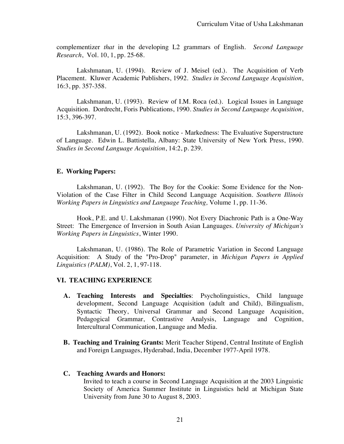complementizer *that* in the developing L2 grammars of English. *Second Language Research*, Vol. 10, 1, pp. 25-68.

Lakshmanan, U. (1994). Review of J. Meisel (ed.). The Acquisition of Verb Placement. Kluwer Academic Publishers, 1992. *Studies in Second Language Acquisition*, 16:3, pp. 357-358.

Lakshmanan, U. (1993). Review of I.M. Roca (ed.). Logical Issues in Language Acquisition. Dordrecht, Foris Publications, 1990. *Studies in Second Language Acquisition*, 15:3, 396-397.

Lakshmanan, U. (1992). Book notice - Markedness: The Evaluative Superstructure of Language. Edwin L. Battistella, Albany: State University of New York Press, 1990*. Studies in Second Language Acquisition*, 14:2, p. 239.

#### **E. Working Papers:**

Lakshmanan, U. (1992). The Boy for the Cookie: Some Evidence for the Non-Violation of the Case Filter in Child Second Language Acquisition. *Southern Illinois Working Papers in Linguistics and Language Teaching,* Volume 1, pp. 11-36.

Hook, P.E. and U. Lakshmanan (1990). Not Every Diachronic Path is a One-Way Street: The Emergence of Inversion in South Asian Languages*. University of Michigan's Working Papers in Linguistics*, Winter 1990.

Lakshmanan, U. (1986). The Role of Parametric Variation in Second Language Acquisition: A Study of the "Pro-Drop" parameter, in *Michigan Papers in Applied Linguistics (PALM)*, Vol. 2, 1, 97-118.

## **VI. TEACHING EXPERIENCE**

- **A. Teaching Interests and Specialties**: Psycholinguistics, Child language development, Second Language Acquisition (adult and Child), Bilingualism, Syntactic Theory, Universal Grammar and Second Language Acquisition, Pedagogical Grammar, Contrastive Analysis, Language and Cognition, Intercultural Communication, Language and Media.
- **B. Teaching and Training Grants:** Merit Teacher Stipend, Central Institute of English and Foreign Languages, Hyderabad, India, December 1977-April 1978.

#### **C. Teaching Awards and Honors:**

Invited to teach a course in Second Language Acquisition at the 2003 Linguistic Society of America Summer Institute in Linguistics held at Michigan State University from June 30 to August 8, 2003.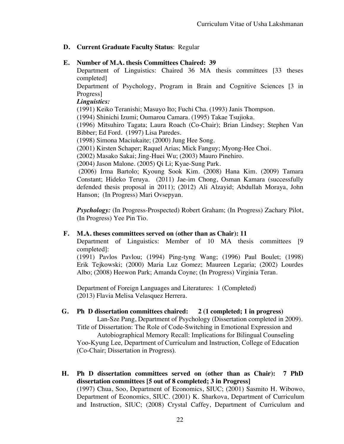# **D. Current Graduate Faculty Status**: Regular

# **E. Number of M.A. thesis Committees Chaired: 39**

Department of Linguistics: Chaired 36 MA thesis committees [33 theses completed]

Department of Psychology, Program in Brain and Cognitive Sciences [3 in Progress]

# *Linguistics:*

(1991) Keiko Teranishi; Masuyo Ito; Fuchi Cha. (1993) Janis Thompson.

(1994) Shinichi Izumi; Oumarou Camara. (1995) Takae Tsujioka.

(1996) Mitsuhiro Tagata; Laura Roach (Co-Chair); Brian Lindsey; Stephen Van Bibber; Ed Ford. (1997) Lisa Paredes.

(1998) Simona Maciukaite; (2000) Jung Hee Song.

(2001) Kirsten Schaper; Raquel Arias; Mick Fanguy; Myong-Hee Choi.

(2002) Masako Sakai; Jing-Huei Wu; (2003) Mauro Pinehiro.

(2004) Jason Malone. (2005) Qi Li; Kyae-Sung Park.

(2006) Irma Bartolo; Kyoung Sook Kim. (2008) Hana Kim. (2009) Tamara Constant; Hideko Teruya. (2011) Jae-im Chong, Osman Kamara (successfully defended thesis proposal in 2011); (2012) Ali Alzayid; Abdullah Moraya, John Hanson; (In Progress) Mari Ovsepyan.

*Psychology:* (In Progress-Prospected) Robert Graham; (In Progress) Zachary Pilot, (In Progress) Yee Pin Tio.

# **F. M.A. theses committees served on (other than as Chair): 11**

Department of Linguistics: Member of 10 MA thesis committees [9 completed]:

(1991) Pavlos Pavlou; (1994) Ping-tyng Wang; (1996) Paul Boulet; (1998) Erik Tejkowski; (2000) Maria Luz Gomez; Maureen Legaria; (2002) Lourdes Albo; (2008) Heewon Park; Amanda Coyne; (In Progress) Virginia Teran.

Department of Foreign Languages and Literatures: 1 (Completed) (2013) Flavia Melisa Velasquez Herrera.

# **G. Ph D dissertation committees chaired: 2 (1 completed; 1 in progress)**

Lan-Sze Pang, Department of Psychology (Dissertation completed in 2009). Title of Dissertation: The Role of Code-Switching in Emotional Expression and

Autobiographical Memory Recall: Implications for Bilingual Counseling Yoo-Kyung Lee, Department of Curriculum and Instruction, College of Education (Co-Chair; Dissertation in Progress).

**H. Ph D dissertation committees served on (other than as Chair): 7 PhD dissertation committees [5 out of 8 completed; 3 in Progress]**

(1997) Chua, Soo, Department of Economics, SIUC; (2001) Sasmito H. Wibowo, Department of Economics, SIUC. (2001) K. Sharkova, Department of Curriculum and Instruction, SIUC; (2008) Crystal Caffey, Department of Curriculum and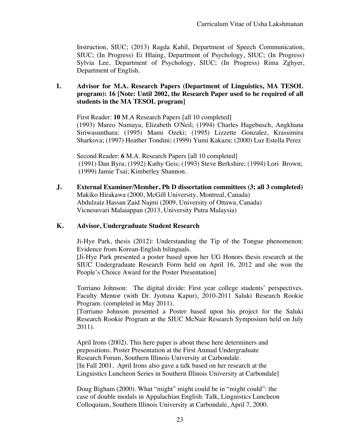Instruction, SIUC; (2013) Ragda Kahil, Department of Speech Communication, SIUC; (In Progress) Ei Hlaing, Department of Psychology, SIUC; (In Progress) Sylvia Lee, Department of Psychology, SIUC; (In Progress) Rima Zghyer, Department of English.

# **I. Advisor for M.A. Research Papers (Department of Linguistics, MA TESOL program): 16 [Note: Until 2002, the Research Paper used to be required of all students in the MA TESOL program]**

First Reader: **10** M.A Research Papers [all 10 completed] (1993) Mareo Numaya, Elizabeth O'Neil; (1994) Charles Hagebusch, Angkhana Siriwasunthara; (1995) Mami Ozeki; (1995) Lizzette Gonzalez, Krassimira Sharkova; (1997) Heather Tondini; (1999) Yumi Kakazu; (2000) Luz Estella Perez

Second Reader: **6** M.A. Research Papers [all 10 completed] (1991) Dan Byra; (1992) Kathy Geis; (1993) Steve Berkshire; (1994) Lori Brown; (1999) Jamie Tsai; Kimberley Shannon.

**J. External Examiner/Member, Ph D dissertation committees (3; all 3 completed)** Makiko Hirakawa (2000, McGill University, Montreal, Canada) Abdulzaiz Hassan Zaid Najmi (2009, University of Ottawa, Canada) Vicnesuvari Malaiappan (2013, University Putra Malaysia)

## **K. Advisor, Undergraduate Student Research**

Ji-Hye Park, thesis (2012): Understanding the Tip of the Tongue phenomenon: Evidence from Korean-English bilinguals.

[Ji-Hye Park presented a poster based upon her UG Honors thesis research at the SIUC Undergraduate Research Form held on April 16, 2012 and she won the People's Choice Award for the Poster Presentation]

Torriano Johnson: The digital divide: First year college students' perspectives. Faculty Mentor (with Dr. Jyotsna Kapur), 2010-2011 Saluki Research Rookie Program. (completed in May 2011).

[Torriano Johnson presented a Poster based upon his project for the Saluki Research Rookie Program at the SIUC McNair Research Symposium held on July 2011).

April Irons (2002). This here paper is about these here determiners and prepositions. Poster Presentation at the First Annual Undergraduate Research Forum, Southern Illinois University at Carbondale. [In Fall 2001, April Irons also gave a talk based on her research at the Linguistics Luncheon Series in Southern Illinois University at Carbondale]

Doug Bigham (2000). What "might" might could be in "might could": the case of double modals in Appalachian English. Talk, Linguistics Luncheon Colloquium, Southern Illinois University at Carbondale, April 7, 2000.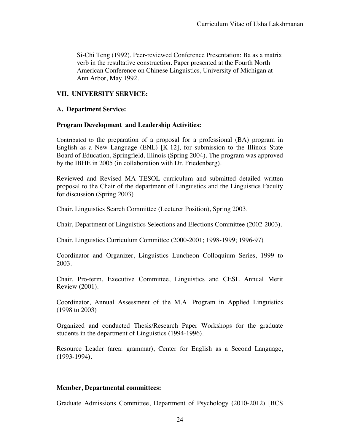Si-Chi Teng (1992). Peer-reviewed Conference Presentation: Ba as a matrix verb in the resultative construction. Paper presented at the Fourth North American Conference on Chinese Linguistics, University of Michigan at Ann Arbor, May 1992.

# **VII. UNIVERSITY SERVICE:**

# **A. Department Service:**

# **Program Development and Leadership Activities:**

Contributed to the preparation of a proposal for a professional (BA) program in English as a New Language (ENL) [K-12], for submission to the Illinois State Board of Education, Springfield, Illinois (Spring 2004). The program was approved by the IBHE in 2005 (in collaboration with Dr. Friedenberg).

Reviewed and Revised MA TESOL curriculum and submitted detailed written proposal to the Chair of the department of Linguistics and the Linguistics Faculty for discussion (Spring 2003)

Chair, Linguistics Search Committee (Lecturer Position), Spring 2003.

Chair, Department of Linguistics Selections and Elections Committee (2002-2003).

Chair, Linguistics Curriculum Committee (2000-2001; 1998-1999; 1996-97)

Coordinator and Organizer, Linguistics Luncheon Colloquium Series, 1999 to 2003.

Chair, Pro-term, Executive Committee, Linguistics and CESL Annual Merit Review (2001).

Coordinator, Annual Assessment of the M.A. Program in Applied Linguistics (1998 to 2003)

Organized and conducted Thesis/Research Paper Workshops for the graduate students in the department of Linguistics (1994-1996).

Resource Leader (area: grammar), Center for English as a Second Language, (1993-1994).

## **Member, Departmental committees:**

Graduate Admissions Committee, Department of Psychology (2010-2012) [BCS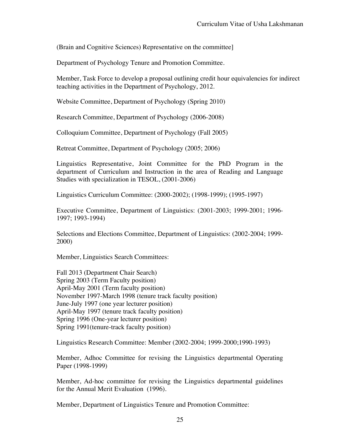(Brain and Cognitive Sciences) Representative on the committee]

Department of Psychology Tenure and Promotion Committee.

Member, Task Force to develop a proposal outlining credit hour equivalencies for indirect teaching activities in the Department of Psychology, 2012.

Website Committee, Department of Psychology (Spring 2010)

Research Committee, Department of Psychology (2006-2008)

Colloquium Committee, Department of Psychology (Fall 2005)

Retreat Committee, Department of Psychology (2005; 2006)

Linguistics Representative, Joint Committee for the PhD Program in the department of Curriculum and Instruction in the area of Reading and Language Studies with specialization in TESOL, (2001-2006)

Linguistics Curriculum Committee: (2000-2002); (1998-1999); (1995-1997)

Executive Committee, Department of Linguistics: (2001-2003; 1999-2001; 1996- 1997; 1993-1994)

Selections and Elections Committee, Department of Linguistics: (2002-2004; 1999- 2000)

Member, Linguistics Search Committees:

Fall 2013 (Department Chair Search) Spring 2003 (Term Faculty position) April-May 2001 (Term faculty position) November 1997-March 1998 (tenure track faculty position) June-July 1997 (one year lecturer position) April-May 1997 (tenure track faculty position) Spring 1996 (One-year lecturer position) Spring 1991(tenure-track faculty position)

Linguistics Research Committee: Member (2002-2004; 1999-2000;1990-1993)

Member, Adhoc Committee for revising the Linguistics departmental Operating Paper (1998-1999)

Member, Ad-hoc committee for revising the Linguistics departmental guidelines for the Annual Merit Evaluation (1996).

Member, Department of Linguistics Tenure and Promotion Committee: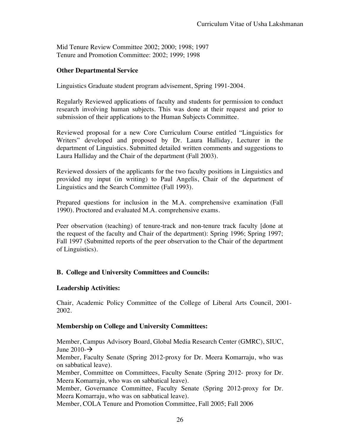Mid Tenure Review Committee 2002; 2000; 1998; 1997 Tenure and Promotion Committee: 2002; 1999; 1998

# **Other Departmental Service**

Linguistics Graduate student program advisement, Spring 1991-2004.

Regularly Reviewed applications of faculty and students for permission to conduct research involving human subjects. This was done at their request and prior to submission of their applications to the Human Subjects Committee.

Reviewed proposal for a new Core Curriculum Course entitled "Linguistics for Writers" developed and proposed by Dr. Laura Halliday, Lecturer in the department of Linguistics. Submitted detailed written comments and suggestions to Laura Halliday and the Chair of the department (Fall 2003).

Reviewed dossiers of the applicants for the two faculty positions in Linguistics and provided my input (in writing) to Paul Angelis, Chair of the department of Linguistics and the Search Committee (Fall 1993).

Prepared questions for inclusion in the M.A. comprehensive examination (Fall 1990). Proctored and evaluated M.A. comprehensive exams.

Peer observation (teaching) of tenure-track and non-tenure track faculty [done at the request of the faculty and Chair of the department): Spring 1996; Spring 1997; Fall 1997 (Submitted reports of the peer observation to the Chair of the department of Linguistics).

# **B. College and University Committees and Councils:**

## **Leadership Activities:**

Chair, Academic Policy Committee of the College of Liberal Arts Council, 2001- 2002.

# **Membership on College and University Committees:**

Member, Campus Advisory Board, Global Media Research Center (GMRC), SIUC, June 2010- $\rightarrow$ 

Member, Faculty Senate (Spring 2012-proxy for Dr. Meera Komarraju, who was on sabbatical leave).

Member, Committee on Committees, Faculty Senate (Spring 2012- proxy for Dr. Meera Komarraju, who was on sabbatical leave).

Member, Governance Committee, Faculty Senate (Spring 2012-proxy for Dr. Meera Komarraju, who was on sabbatical leave).

Member, COLA Tenure and Promotion Committee, Fall 2005; Fall 2006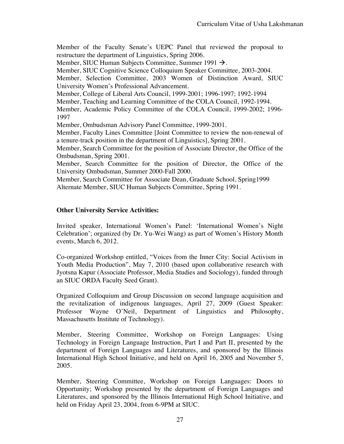Member of the Faculty Senate's UEPC Panel that reviewed the proposal to restructure the department of Linguistics, Spring 2006.

Member, SIUC Human Subjects Committee, Summer 1991  $\rightarrow$ .

Member, SIUC Cognitive Science Colloquium Speaker Committee, 2003-2004.

Member, Selection Committee, 2003 Women of Distinction Award, SIUC University Women's Professional Advancement.

Member, College of Liberal Arts Council, 1999-2001; 1996-1997; 1992-1994

Member, Teaching and Learning Committee of the COLA Council, 1992-1994.

Member, Academic Policy Committee of the COLA Council, 1999-2002; 1996- 1997

Member, Ombudsman Advisory Panel Committee, 1999-2001.

Member, Faculty Lines Committee [Joint Committee to review the non-renewal of a tenure-track position in the department of Linguistics], Spring 2001.

Member, Search Committee for the position of Associate Director, the Office of the Ombudsman, Spring 2001.

Member, Search Committee for the position of Director, the Office of the University Ombudsman, Summer 2000-Fall 2000.

Member, Search Committee for Associate Dean, Graduate School, Spring1999 Alternate Member, SIUC Human Subjects Committee, Spring 1991.

# **Other University Service Activities:**

Invited speaker, International Women's Panel: 'International Women's Night Celebration'; organized (by Dr. Yu-Wei Wang) as part of Women's History Month events, March 6, 2012.

Co-organized Workshop entitled, "Voices from the Inner City: Social Activism in Youth Media Production", May 7, 2010 (based upon collaborative research with Jyotsna Kapur (Associate Professor, Media Studies and Sociology), funded through an SIUC ORDA Faculty Seed Grant).

Organized Colloquium and Group Discussion on second language acquisition and the revitalization of indigenous languages, April 27, 2009 (Guest Speaker: Professor Wayne O'Neil, Department of Linguistics and Philosophy, Massachusetts Institute of Technology).

Member, Steering Committee, Workshop on Foreign Languages: Using Technology in Foreign Language Instruction, Part I and Part II, presented by the department of Foreign Languages and Literatures, and sponsored by the Illinois International High School Initiative, and held on April 16, 2005 and November 5, 2005.

Member, Steering Committee, Workshop on Foreign Languages: Doors to Opportunity; Workshop presented by the department of Foreign Languages and Literatures, and sponsored by the Illinois International High School Initiative, and held on Friday April 23, 2004, from 6-9PM at SIUC.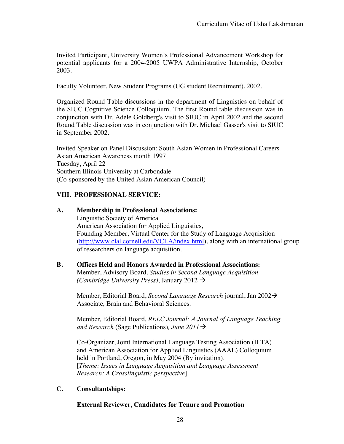Invited Participant, University Women's Professional Advancement Workshop for potential applicants for a 2004-2005 UWPA Administrative Internship, October 2003.

Faculty Volunteer, New Student Programs (UG student Recruitment), 2002.

Organized Round Table discussions in the department of Linguistics on behalf of the SIUC Cognitive Science Colloquium. The first Round table discussion was in conjunction with Dr. Adele Goldberg's visit to SIUC in April 2002 and the second Round Table discussion was in conjunction with Dr. Michael Gasser's visit to SIUC in September 2002.

Invited Speaker on Panel Discussion: South Asian Women in Professional Careers Asian American Awareness month 1997 Tuesday, April 22 Southern Illinois University at Carbondale (Co-sponsored by the United Asian American Council)

# **VIII. PROFESSIONAL SERVICE:**

## **A. Membership in Professional Associations:**

Linguistic Society of America American Association for Applied Linguistics, Founding Member, Virtual Center for the Study of Language Acquisition (http://www.clal.cornell.edu/VCLA/index.html), along with an international group of researchers on language acquisition.

# **B. Offices Held and Honors Awarded in Professional Associations:**

Member, Advisory Board, *Studies in Second Language Acquisition (Cambridge University Press)*, January 2012  $\rightarrow$ 

Member, Editorial Board, *Second Language Research* journal, Jan 2002à Associate, Brain and Behavioral Sciences.

Member, Editorial Board, *RELC Journal: A Journal of Language Teaching and Research* (Sage Publications)*, June 2011*à

Co-Organizer, Joint International Language Testing Association (ILTA) and American Association for Applied Linguistics (AAAL) Colloquium held in Portland, Oregon, in May 2004 (By invitation). [*Theme: Issues in Language Acquisition and Language Assessment Research: A Crosslinguistic perspective*]

## **C. Consultantships:**

## **External Reviewer, Candidates for Tenure and Promotion**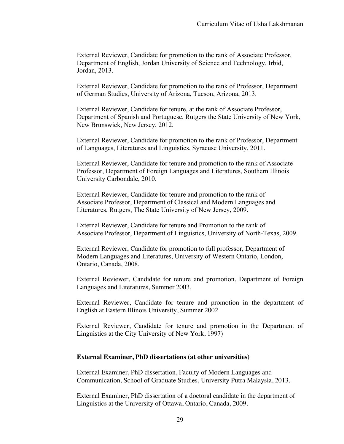External Reviewer, Candidate for promotion to the rank of Associate Professor, Department of English, Jordan University of Science and Technology, Irbid, Jordan, 2013.

External Reviewer, Candidate for promotion to the rank of Professor, Department of German Studies, University of Arizona, Tucson, Arizona, 2013.

External Reviewer, Candidate for tenure, at the rank of Associate Professor, Department of Spanish and Portuguese, Rutgers the State University of New York, New Brunswick, New Jersey, 2012.

External Reviewer, Candidate for promotion to the rank of Professor, Department of Languages, Literatures and Linguistics, Syracuse University, 2011.

External Reviewer, Candidate for tenure and promotion to the rank of Associate Professor, Department of Foreign Languages and Literatures, Southern Illinois University Carbondale, 2010.

External Reviewer, Candidate for tenure and promotion to the rank of Associate Professor, Department of Classical and Modern Languages and Literatures, Rutgers, The State University of New Jersey, 2009.

External Reviewer, Candidate for tenure and Promotion to the rank of Associate Professor, Department of Linguistics, University of North-Texas, 2009.

External Reviewer, Candidate for promotion to full professor, Department of Modern Languages and Literatures, University of Western Ontario, London, Ontario, Canada, 2008.

External Reviewer, Candidate for tenure and promotion, Department of Foreign Languages and Literatures, Summer 2003.

External Reviewer, Candidate for tenure and promotion in the department of English at Eastern Illinois University, Summer 2002

External Reviewer, Candidate for tenure and promotion in the Department of Linguistics at the City University of New York, 1997)

#### **External Examiner, PhD dissertations (at other universities)**

External Examiner, PhD dissertation, Faculty of Modern Languages and Communication, School of Graduate Studies, University Putra Malaysia, 2013.

External Examiner, PhD dissertation of a doctoral candidate in the department of Linguistics at the University of Ottawa, Ontario, Canada, 2009.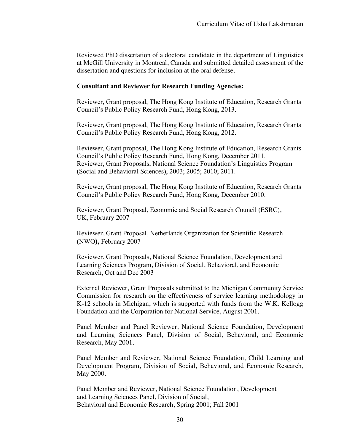Reviewed PhD dissertation of a doctoral candidate in the department of Linguistics at McGill University in Montreal, Canada and submitted detailed assessment of the dissertation and questions for inclusion at the oral defense.

#### **Consultant and Reviewer for Research Funding Agencies:**

Reviewer, Grant proposal, The Hong Kong Institute of Education, Research Grants Council's Public Policy Research Fund, Hong Kong, 2013.

Reviewer, Grant proposal, The Hong Kong Institute of Education, Research Grants Council's Public Policy Research Fund, Hong Kong, 2012.

Reviewer, Grant proposal, The Hong Kong Institute of Education, Research Grants Council's Public Policy Research Fund, Hong Kong, December 2011. Reviewer, Grant Proposals, National Science Foundation's Linguistics Program (Social and Behavioral Sciences), 2003; 2005; 2010; 2011.

Reviewer, Grant proposal, The Hong Kong Institute of Education, Research Grants Council's Public Policy Research Fund, Hong Kong, December 2010.

Reviewer, Grant Proposal, Economic and Social Research Council (ESRC), UK, February 2007

Reviewer, Grant Proposal, Netherlands Organization for Scientific Research (NWO**),** February 2007

Reviewer, Grant Proposals, National Science Foundation, Development and Learning Sciences Program, Division of Social, Behavioral, and Economic Research, Oct and Dec 2003

External Reviewer, Grant Proposals submitted to the Michigan Community Service Commission for research on the effectiveness of service learning methodology in K-12 schools in Michigan, which is supported with funds from the W.K. Kellogg Foundation and the Corporation for National Service, August 2001.

Panel Member and Panel Reviewer, National Science Foundation, Development and Learning Sciences Panel, Division of Social, Behavioral, and Economic Research, May 2001.

Panel Member and Reviewer, National Science Foundation, Child Learning and Development Program, Division of Social, Behavioral, and Economic Research, May 2000.

Panel Member and Reviewer, National Science Foundation, Development and Learning Sciences Panel, Division of Social, Behavioral and Economic Research, Spring 2001; Fall 2001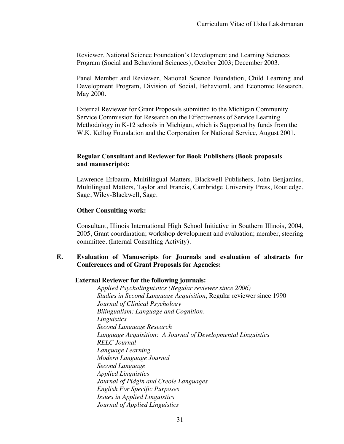Reviewer, National Science Foundation's Development and Learning Sciences Program (Social and Behavioral Sciences), October 2003; December 2003.

Panel Member and Reviewer, National Science Foundation, Child Learning and Development Program, Division of Social, Behavioral, and Economic Research, May 2000.

External Reviewer for Grant Proposals submitted to the Michigan Community Service Commission for Research on the Effectiveness of Service Learning Methodology in K-12 schools in Michigan, which is Supported by funds from the W.K. Kellog Foundation and the Corporation for National Service, August 2001.

#### **Regular Consultant and Reviewer for Book Publishers (Book proposals and manuscripts):**

Lawrence Erlbaum, Multilingual Matters, Blackwell Publishers, John Benjamins, Multilingual Matters, Taylor and Francis, Cambridge University Press, Routledge, Sage, Wiley-Blackwell, Sage.

#### **Other Consulting work:**

Consultant, Illinois International High School Initiative in Southern Illinois, 2004, 2005, Grant coordination; workshop development and evaluation; member, steering committee. (Internal Consulting Activity).

# **E. Evaluation of Manuscripts for Journals and evaluation of abstracts for Conferences and of Grant Proposals for Agencies:**

#### **External Reviewer for the following journals:**

 *Applied Psycholinguistics (Regular reviewer since 2006) Studies in Second Language Acquisition*, Regular reviewer since 1990 *Journal of Clinical Psychology Bilingualism: Language and Cognition. Linguistics Second Language Research Language Acquisition: A Journal of Developmental Linguistics RELC Journal Language Learning Modern Language Journal Second Language Applied Linguistics Journal of Pidgin and Creole Languages English For Specific Purposes Issues in Applied Linguistics Journal of Applied Linguistics*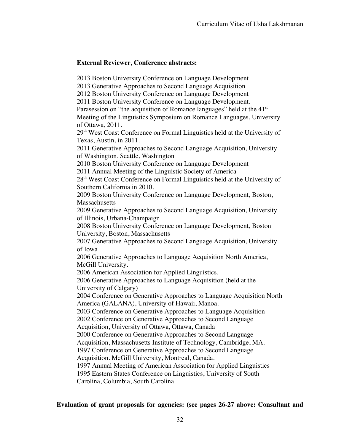# **External Reviewer, Conference abstracts:**

2013 Boston University Conference on Language Development

2013 Generative Approaches to Second Language Acquisition

2012 Boston University Conference on Language Development

2011 Boston University Conference on Language Development.

Parasession on "the acquisition of Romance languages" held at the  $41<sup>st</sup>$ 

Meeting of the Linguistics Symposium on Romance Languages, University of Ottawa, 2011.

29<sup>th</sup> West Coast Conference on Formal Linguistics held at the University of Texas, Austin, in 2011.

2011 Generative Approaches to Second Language Acquisition, University of Washington, Seattle, Washington

2010 Boston University Conference on Language Development

2011 Annual Meeting of the Linguistic Society of America

28<sup>th</sup> West Coast Conference on Formal Linguistics held at the University of Southern California in 2010.

2009 Boston University Conference on Language Development, Boston, **Massachusetts** 

2009 Generative Approaches to Second Language Acquisition, University of Illinois, Urbana-Champaign

2008 Boston University Conference on Language Development, Boston University, Boston, Massachusetts

2007 Generative Approaches to Second Language Acquisition, University of Iowa

2006 Generative Approaches to Language Acquisition North America, McGill University.

2006 American Association for Applied Linguistics.

2006 Generative Approaches to Language Acquisition (held at the University of Calgary)

2004 Conference on Generative Approaches to Language Acquisition North America (GALANA), University of Hawaii, Manoa.

2003 Conference on Generative Approaches to Language Acquisition 2002 Conference on Generative Approaches to Second Language

Acquisition, University of Ottawa, Ottawa, Canada

2000 Conference on Generative Approaches to Second Language

Acquisition, Massachusetts Institute of Technology, Cambridge, MA.

1997 Conference on Generative Approaches to Second Language

Acquisition. McGill University, Montreal, Canada.

1997 Annual Meeting of American Association for Applied Linguistics 1995 Eastern States Conference on Linguistics, University of South Carolina, Columbia, South Carolina.

# **Evaluation of grant proposals for agencies: (see pages 26-27 above: Consultant and**